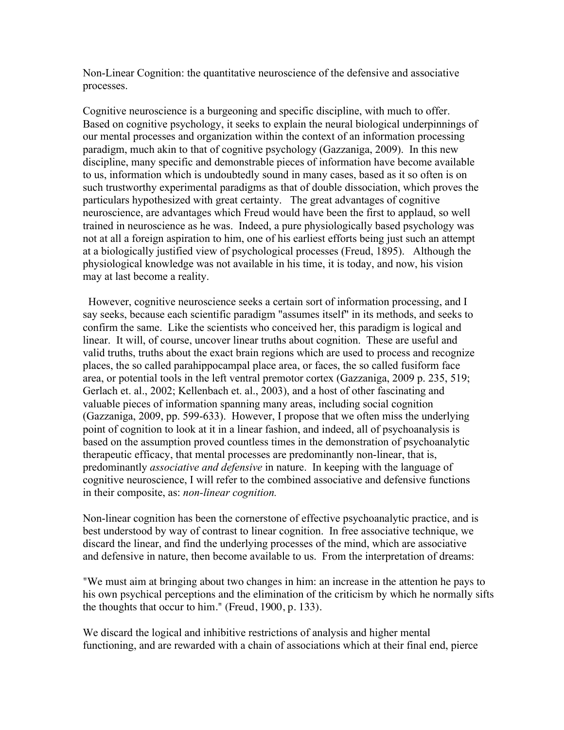Non-Linear Cognition: the quantitative neuroscience of the defensive and associative processes.

Cognitive neuroscience is a burgeoning and specific discipline, with much to offer. Based on cognitive psychology, it seeks to explain the neural biological underpinnings of our mental processes and organization within the context of an information processing paradigm, much akin to that of cognitive psychology (Gazzaniga, 2009). In this new discipline, many specific and demonstrable pieces of information have become available to us, information which is undoubtedly sound in many cases, based as it so often is on such trustworthy experimental paradigms as that of double dissociation, which proves the particulars hypothesized with great certainty. The great advantages of cognitive neuroscience, are advantages which Freud would have been the first to applaud, so well trained in neuroscience as he was. Indeed, a pure physiologically based psychology was not at all a foreign aspiration to him, one of his earliest efforts being just such an attempt at a biologically justified view of psychological processes (Freud, 1895). Although the physiological knowledge was not available in his time, it is today, and now, his vision may at last become a reality.

 However, cognitive neuroscience seeks a certain sort of information processing, and I say seeks, because each scientific paradigm "assumes itself" in its methods, and seeks to confirm the same. Like the scientists who conceived her, this paradigm is logical and linear. It will, of course, uncover linear truths about cognition. These are useful and valid truths, truths about the exact brain regions which are used to process and recognize places, the so called parahippocampal place area, or faces, the so called fusiform face area, or potential tools in the left ventral premotor cortex (Gazzaniga, 2009 p. 235, 519; Gerlach et. al., 2002; Kellenbach et. al., 2003), and a host of other fascinating and valuable pieces of information spanning many areas, including social cognition (Gazzaniga, 2009, pp. 599-633). However, I propose that we often miss the underlying point of cognition to look at it in a linear fashion, and indeed, all of psychoanalysis is based on the assumption proved countless times in the demonstration of psychoanalytic therapeutic efficacy, that mental processes are predominantly non-linear, that is, predominantly *associative and defensive* in nature. In keeping with the language of cognitive neuroscience, I will refer to the combined associative and defensive functions in their composite, as: *non-linear cognition.* 

Non-linear cognition has been the cornerstone of effective psychoanalytic practice, and is best understood by way of contrast to linear cognition. In free associative technique, we discard the linear, and find the underlying processes of the mind, which are associative and defensive in nature, then become available to us. From the interpretation of dreams:

"We must aim at bringing about two changes in him: an increase in the attention he pays to his own psychical perceptions and the elimination of the criticism by which he normally sifts the thoughts that occur to him." (Freud, 1900, p. 133).

We discard the logical and inhibitive restrictions of analysis and higher mental functioning, and are rewarded with a chain of associations which at their final end, pierce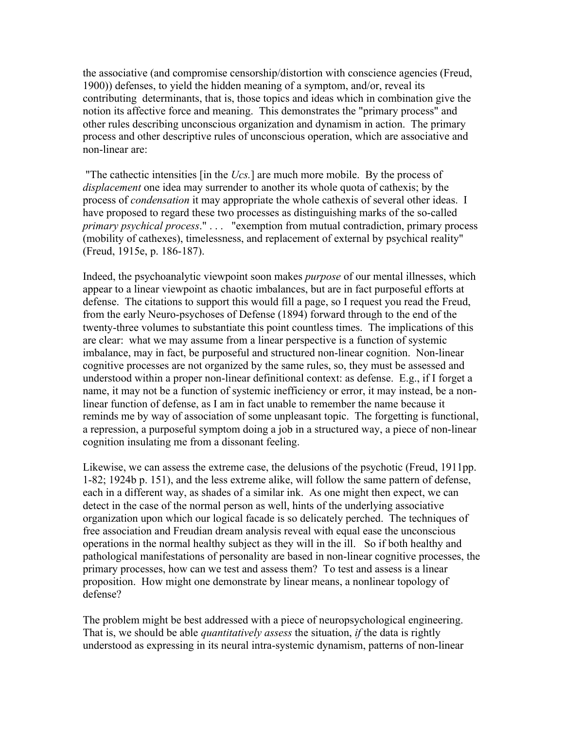the associative (and compromise censorship/distortion with conscience agencies (Freud, 1900)) defenses, to yield the hidden meaning of a symptom, and/or, reveal its contributing determinants, that is, those topics and ideas which in combination give the notion its affective force and meaning. This demonstrates the "primary process" and other rules describing unconscious organization and dynamism in action. The primary process and other descriptive rules of unconscious operation, which are associative and non-linear are:

"The cathectic intensities [in the *Ucs.*] are much more mobile. By the process of *displacement* one idea may surrender to another its whole quota of cathexis; by the process of *condensation* it may appropriate the whole cathexis of several other ideas. I have proposed to regard these two processes as distinguishing marks of the so-called *primary psychical process*." . . . "exemption from mutual contradiction, primary process (mobility of cathexes), timelessness, and replacement of external by psychical reality" (Freud, 1915e, p. 186-187).

Indeed, the psychoanalytic viewpoint soon makes *purpose* of our mental illnesses, which appear to a linear viewpoint as chaotic imbalances, but are in fact purposeful efforts at defense. The citations to support this would fill a page, so I request you read the Freud, from the early Neuro-psychoses of Defense (1894) forward through to the end of the twenty-three volumes to substantiate this point countless times. The implications of this are clear: what we may assume from a linear perspective is a function of systemic imbalance, may in fact, be purposeful and structured non-linear cognition. Non-linear cognitive processes are not organized by the same rules, so, they must be assessed and understood within a proper non-linear definitional context: as defense. E.g., if I forget a name, it may not be a function of systemic inefficiency or error, it may instead, be a nonlinear function of defense, as I am in fact unable to remember the name because it reminds me by way of association of some unpleasant topic. The forgetting is functional, a repression, a purposeful symptom doing a job in a structured way, a piece of non-linear cognition insulating me from a dissonant feeling.

Likewise, we can assess the extreme case, the delusions of the psychotic (Freud, 1911pp. 1-82; 1924b p. 151), and the less extreme alike, will follow the same pattern of defense, each in a different way, as shades of a similar ink. As one might then expect, we can detect in the case of the normal person as well, hints of the underlying associative organization upon which our logical facade is so delicately perched. The techniques of free association and Freudian dream analysis reveal with equal ease the unconscious operations in the normal healthy subject as they will in the ill. So if both healthy and pathological manifestations of personality are based in non-linear cognitive processes, the primary processes, how can we test and assess them? To test and assess is a linear proposition. How might one demonstrate by linear means, a nonlinear topology of defense?

The problem might be best addressed with a piece of neuropsychological engineering. That is, we should be able *quantitatively assess* the situation, *if* the data is rightly understood as expressing in its neural intra-systemic dynamism, patterns of non-linear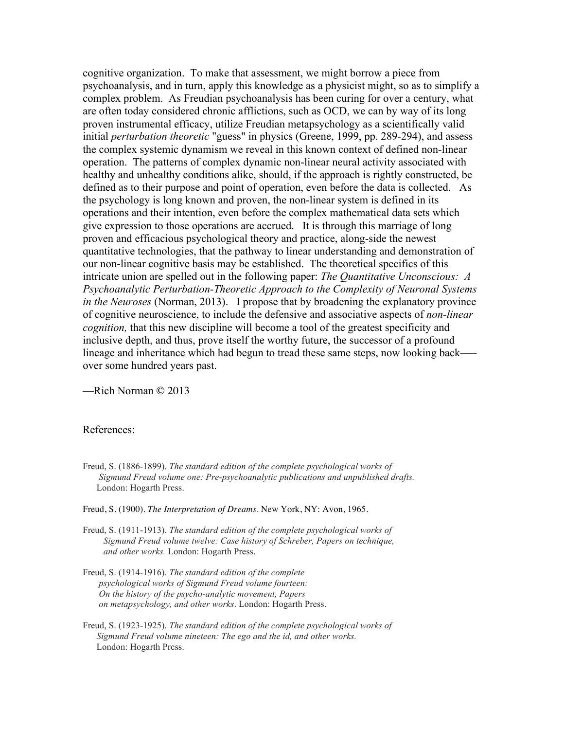cognitive organization. To make that assessment, we might borrow a piece from psychoanalysis, and in turn, apply this knowledge as a physicist might, so as to simplify a complex problem. As Freudian psychoanalysis has been curing for over a century, what are often today considered chronic afflictions, such as OCD, we can by way of its long proven instrumental efficacy, utilize Freudian metapsychology as a scientifically valid initial *perturbation theoretic* "guess" in physics (Greene, 1999, pp. 289-294), and assess the complex systemic dynamism we reveal in this known context of defined non-linear operation. The patterns of complex dynamic non-linear neural activity associated with healthy and unhealthy conditions alike, should, if the approach is rightly constructed, be defined as to their purpose and point of operation, even before the data is collected. As the psychology is long known and proven, the non-linear system is defined in its operations and their intention, even before the complex mathematical data sets which give expression to those operations are accrued. It is through this marriage of long proven and efficacious psychological theory and practice, along-side the newest quantitative technologies, that the pathway to linear understanding and demonstration of our non-linear cognitive basis may be established. The theoretical specifics of this intricate union are spelled out in the following paper: *The Quantitative Unconscious: A Psychoanalytic Perturbation-Theoretic Approach to the Complexity of Neuronal Systems in the Neuroses* (Norman, 2013). I propose that by broadening the explanatory province of cognitive neuroscience, to include the defensive and associative aspects of *non-linear cognition,* that this new discipline will become a tool of the greatest specificity and inclusive depth, and thus, prove itself the worthy future, the successor of a profound lineage and inheritance which had begun to tread these same steps, now looking back—– over some hundred years past.

––Rich Norman © 2013

## References:

- Freud, S. (1886-1899). *The standard edition of the complete psychological works of Sigmund Freud volume one: Pre-psychoanalytic publications and unpublished drafts.*  London: Hogarth Press.
- Freud, S. (1900). *The Interpretation of Dreams*. New York, NY: Avon, 1965.
- Freud, S. (1911-1913). *The standard edition of the complete psychological works of Sigmund Freud volume twelve: Case history of Schreber, Papers on technique, and other works.* London: Hogarth Press.
- Freud, S. (1914-1916). *The standard edition of the complete psychological works of Sigmund Freud volume fourteen: On the history of the psycho-analytic movement, Papers on metapsychology, and other works*. London: Hogarth Press.
- Freud, S. (1923-1925). *The standard edition of the complete psychological works of Sigmund Freud volume nineteen: The ego and the id, and other works.* London: Hogarth Press.